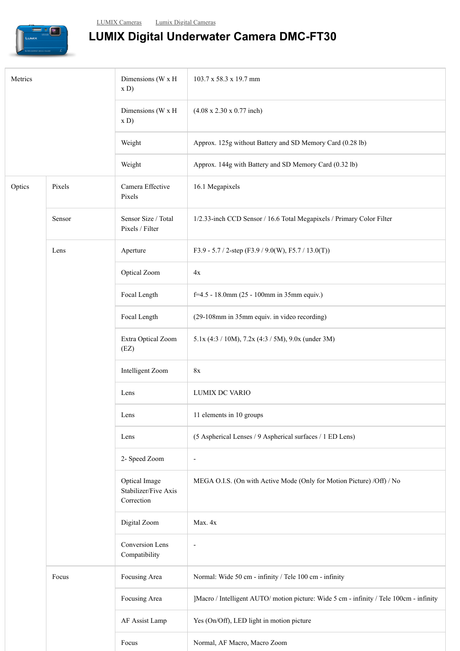

## **LUMIX Digital Underwater Camera DMC-FT30**

| Metrics |        | Dimensions (W x H<br>x D)                           | 103.7 x 58.3 x 19.7 mm                                                                  |
|---------|--------|-----------------------------------------------------|-----------------------------------------------------------------------------------------|
|         |        | Dimensions (W x H<br>x D)                           | $(4.08 \times 2.30 \times 0.77$ inch)                                                   |
|         |        | Weight                                              | Approx. 125g without Battery and SD Memory Card (0.28 lb)                               |
|         |        | Weight                                              | Approx. 144g with Battery and SD Memory Card (0.32 lb)                                  |
| Optics  | Pixels | Camera Effective<br>Pixels                          | 16.1 Megapixels                                                                         |
|         | Sensor | Sensor Size / Total<br>Pixels / Filter              | 1/2.33-inch CCD Sensor / 16.6 Total Megapixels / Primary Color Filter                   |
|         | Lens   | Aperture                                            | F3.9 - 5.7 / 2-step (F3.9 / 9.0(W), F5.7 / 13.0(T))                                     |
|         |        | Optical Zoom                                        | 4x                                                                                      |
|         |        | Focal Length                                        | f=4.5 - 18.0mm (25 - 100mm in 35mm equiv.)                                              |
|         |        | Focal Length                                        | (29-108mm in 35mm equiv. in video recording)                                            |
|         |        | Extra Optical Zoom<br>(EZ)                          | 5.1x (4:3 / 10M), 7.2x (4:3 / 5M), 9.0x (under 3M)                                      |
|         |        | Intelligent Zoom                                    | 8x                                                                                      |
|         |        | Lens                                                | LUMIX DC VARIO                                                                          |
|         |        | Lens                                                | 11 elements in 10 groups                                                                |
|         |        | Lens                                                | (5 Aspherical Lenses / 9 Aspherical surfaces / 1 ED Lens)                               |
|         |        | 2- Speed Zoom                                       | $\overline{\phantom{a}}$                                                                |
|         |        | Optical Image<br>Stabilizer/Five Axis<br>Correction | MEGA O.I.S. (On with Active Mode (Only for Motion Picture) /Off) / No                   |
|         |        | Digital Zoom                                        | Max. 4x                                                                                 |
|         |        | Conversion Lens<br>Compatibility                    | $\overline{\phantom{a}}$                                                                |
|         | Focus  | Focusing Area                                       | Normal: Wide 50 cm - infinity / Tele 100 cm - infinity                                  |
|         |        | Focusing Area                                       | ]Macro / Intelligent AUTO/ motion picture: Wide 5 cm - infinity / Tele 100cm - infinity |
|         |        | AF Assist Lamp                                      | Yes (On/Off), LED light in motion picture                                               |
|         |        | Focus                                               | Normal, AF Macro, Macro Zoom                                                            |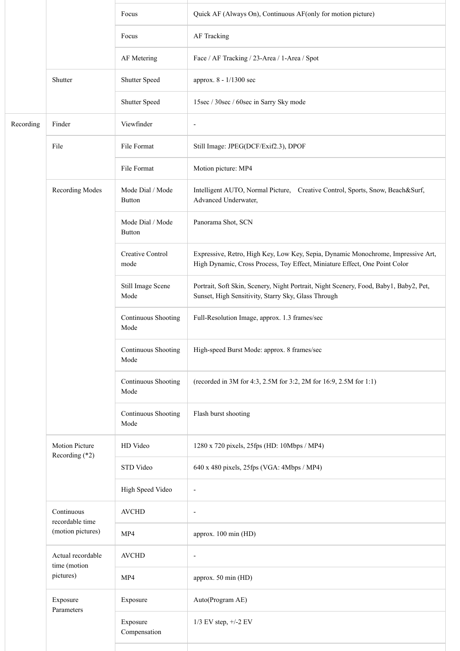|           |                                                    | Focus                             | Quick AF (Always On), Continuous AF(only for motion picture)                                                                                                   |
|-----------|----------------------------------------------------|-----------------------------------|----------------------------------------------------------------------------------------------------------------------------------------------------------------|
|           |                                                    | Focus                             | AF Tracking                                                                                                                                                    |
|           |                                                    | AF Metering                       | Face / AF Tracking / 23-Area / 1-Area / Spot                                                                                                                   |
|           | Shutter                                            | Shutter Speed                     | approx. 8 - 1/1300 sec                                                                                                                                         |
|           |                                                    | Shutter Speed                     | 15sec / 30sec / 60sec in Sarry Sky mode                                                                                                                        |
| Recording | Finder                                             | Viewfinder                        | $\overline{\phantom{a}}$                                                                                                                                       |
|           | File                                               | File Format                       | Still Image: JPEG(DCF/Exif2.3), DPOF                                                                                                                           |
|           |                                                    | File Format                       | Motion picture: MP4                                                                                                                                            |
|           | Recording Modes                                    | Mode Dial / Mode<br>Button        | Intelligent AUTO, Normal Picture, Creative Control, Sports, Snow, Beach&Surf,<br>Advanced Underwater,                                                          |
|           |                                                    | Mode Dial / Mode<br><b>Button</b> | Panorama Shot, SCN                                                                                                                                             |
|           |                                                    | Creative Control<br>mode          | Expressive, Retro, High Key, Low Key, Sepia, Dynamic Monochrome, Impressive Art,<br>High Dynamic, Cross Process, Toy Effect, Miniature Effect, One Point Color |
|           |                                                    | Still Image Scene<br>Mode         | Portrait, Soft Skin, Scenery, Night Portrait, Night Scenery, Food, Baby1, Baby2, Pet,<br>Sunset, High Sensitivity, Starry Sky, Glass Through                   |
|           |                                                    | Continuous Shooting<br>Mode       | Full-Resolution Image, approx. 1.3 frames/sec                                                                                                                  |
|           |                                                    | Continuous Shooting<br>Mode       | High-speed Burst Mode: approx. 8 frames/sec                                                                                                                    |
|           |                                                    | Continuous Shooting<br>Mode       | (recorded in 3M for 4:3, 2.5M for 3:2, 2M for 16:9, 2.5M for 1:1)                                                                                              |
|           |                                                    | Continuous Shooting<br>Mode       | Flash burst shooting                                                                                                                                           |
|           | <b>Motion Picture</b><br>Recording $(*2)$          | HD Video                          | 1280 x 720 pixels, 25fps (HD: 10Mbps / MP4)                                                                                                                    |
|           |                                                    | STD Video                         | 640 x 480 pixels, 25fps (VGA: 4Mbps / MP4)                                                                                                                     |
|           |                                                    | High Speed Video                  | $\overline{\phantom{a}}$                                                                                                                                       |
|           | Continuous<br>recordable time<br>(motion pictures) | <b>AVCHD</b>                      | $\overline{\phantom{a}}$                                                                                                                                       |
|           |                                                    | MP4                               | approx. 100 min (HD)                                                                                                                                           |
|           | Actual recordable<br>time (motion<br>pictures)     | <b>AVCHD</b>                      | $\overline{\phantom{a}}$                                                                                                                                       |
|           |                                                    | MP4                               | approx. 50 min (HD)                                                                                                                                            |
|           | Exposure<br>Parameters                             | Exposure                          | Auto(Program AE)                                                                                                                                               |
|           |                                                    | Exposure<br>Compensation          | 1/3 EV step, +/-2 EV                                                                                                                                           |
|           |                                                    |                                   |                                                                                                                                                                |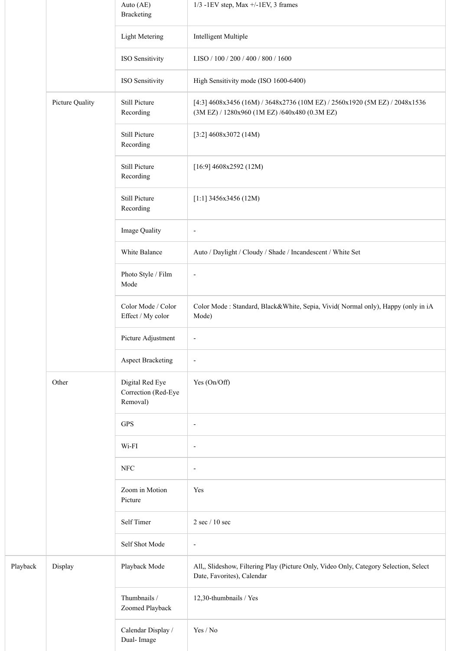|          |                 | Auto (AE)<br><b>Bracketing</b>                     | $1/3$ -1EV step, Max +/-1EV, 3 frames                                                                                           |
|----------|-----------------|----------------------------------------------------|---------------------------------------------------------------------------------------------------------------------------------|
|          |                 | <b>Light Metering</b>                              | Intelligent Multiple                                                                                                            |
|          |                 | ISO Sensitivity                                    | I.ISO / 100 / 200 / 400 / 800 / 1600                                                                                            |
|          |                 | ISO Sensitivity                                    | High Sensitivity mode (ISO 1600-6400)                                                                                           |
|          | Picture Quality | Still Picture<br>Recording                         | [4:3] 4608x3456 (16M) / 3648x2736 (10M EZ) / 2560x1920 (5M EZ) / 2048x1536<br>$(3M$ EZ) / $1280x960$ (1M EZ) /640x480 (0.3M EZ) |
|          |                 | Still Picture<br>Recording                         | [3:2] $4608x3072$ (14M)                                                                                                         |
|          |                 | Still Picture<br>Recording                         | $[16:9]$ 4608x2592 (12M)                                                                                                        |
|          |                 | Still Picture<br>Recording                         | [1:1] $3456x3456(12M)$                                                                                                          |
|          |                 | Image Quality                                      | $\overline{\phantom{a}}$                                                                                                        |
|          |                 | White Balance                                      | Auto / Daylight / Cloudy / Shade / Incandescent / White Set                                                                     |
|          |                 | Photo Style / Film<br>Mode                         | $\overline{a}$                                                                                                                  |
|          |                 | Color Mode / Color<br>Effect / My color            | Color Mode : Standard, Black&White, Sepia, Vivid( Normal only), Happy (only in iA<br>Mode)                                      |
|          |                 | Picture Adjustment                                 | $\overline{a}$                                                                                                                  |
|          |                 | <b>Aspect Bracketing</b>                           | $\overline{\phantom{a}}$                                                                                                        |
|          | Other           | Digital Red Eye<br>Correction (Red-Eye<br>Removal) | Yes (On/Off)                                                                                                                    |
|          |                 | <b>GPS</b>                                         | $\overline{a}$                                                                                                                  |
|          |                 | Wi-FI                                              | $\overline{a}$                                                                                                                  |
|          |                 | <b>NFC</b>                                         | $\overline{a}$                                                                                                                  |
|          |                 | Zoom in Motion<br>Picture                          | Yes                                                                                                                             |
|          |                 | Self Timer                                         | $2 \sec / 10 \sec$                                                                                                              |
|          |                 | Self Shot Mode                                     | $\overline{\phantom{a}}$                                                                                                        |
| Playback | Display         | Playback Mode                                      | All,, Slideshow, Filtering Play (Picture Only, Video Only, Category Selection, Select<br>Date, Favorites), Calendar             |
|          |                 | Thumbnails /<br>Zoomed Playback                    | 12,30-thumbnails / Yes                                                                                                          |
|          |                 | Calendar Display /<br>Dual-Image                   | Yes / No                                                                                                                        |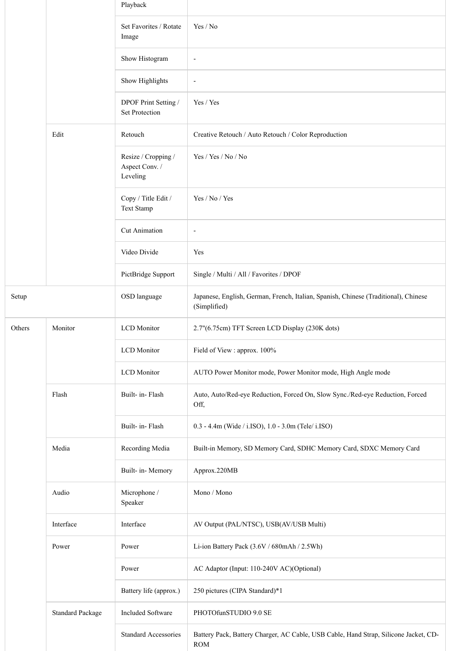|        |                         | Playback                                          |                                                                                                     |
|--------|-------------------------|---------------------------------------------------|-----------------------------------------------------------------------------------------------------|
|        |                         | Set Favorites / Rotate<br>Image                   | Yes / No                                                                                            |
|        |                         | Show Histogram                                    | $\overline{\phantom{a}}$                                                                            |
|        |                         | Show Highlights                                   | $\overline{\phantom{a}}$                                                                            |
|        |                         | DPOF Print Setting /<br><b>Set Protection</b>     | Yes / Yes                                                                                           |
|        | Edit                    | Retouch                                           | Creative Retouch / Auto Retouch / Color Reproduction                                                |
|        |                         | Resize / Cropping /<br>Aspect Conv. /<br>Leveling | Yes / Yes / No / No                                                                                 |
|        |                         | Copy / Title Edit /<br>Text Stamp                 | Yes / No / Yes                                                                                      |
|        |                         | Cut Animation                                     | $\overline{\phantom{a}}$                                                                            |
|        |                         | Video Divide                                      | Yes                                                                                                 |
|        |                         | PictBridge Support                                | Single / Multi / All / Favorites / DPOF                                                             |
| Setup  |                         | OSD language                                      | Japanese, English, German, French, Italian, Spanish, Chinese (Traditional), Chinese<br>(Simplified) |
| Others | Monitor                 | <b>LCD</b> Monitor                                | 2.7"(6.75cm) TFT Screen LCD Display (230K dots)                                                     |
|        |                         | <b>LCD</b> Monitor                                | Field of View : approx. 100%                                                                        |
|        |                         | <b>LCD</b> Monitor                                | AUTO Power Monitor mode, Power Monitor mode, High Angle mode                                        |
|        | Flash                   | Built- in-Flash                                   | Auto, Auto/Red-eye Reduction, Forced On, Slow Sync./Red-eye Reduction, Forced<br>Off,               |
|        |                         | Built- in-Flash                                   | 0.3 - 4.4m (Wide / i.ISO), 1.0 - 3.0m (Tele/ i.ISO)                                                 |
|        | Media                   | Recording Media                                   | Built-in Memory, SD Memory Card, SDHC Memory Card, SDXC Memory Card                                 |
|        |                         | Built- in- Memory                                 | Approx.220MB                                                                                        |
|        | Audio                   | Microphone /<br>Speaker                           | Mono / Mono                                                                                         |
|        | Interface               | Interface                                         | AV Output (PAL/NTSC), USB(AV/USB Multi)                                                             |
|        | Power                   | Power                                             | Li-ion Battery Pack (3.6V / 680mAh / 2.5Wh)                                                         |
|        |                         | Power                                             | AC Adaptor (Input: 110-240V AC)(Optional)                                                           |
|        |                         | Battery life (approx.)                            | 250 pictures (CIPA Standard)*1                                                                      |
|        | <b>Standard Package</b> | <b>Included Software</b>                          | PHOTOfunSTUDIO 9.0 SE                                                                               |
|        |                         | <b>Standard Accessories</b>                       | Battery Pack, Battery Charger, AC Cable, USB Cable, Hand Strap, Silicone Jacket, CD-<br>$\rm{ROM}$  |